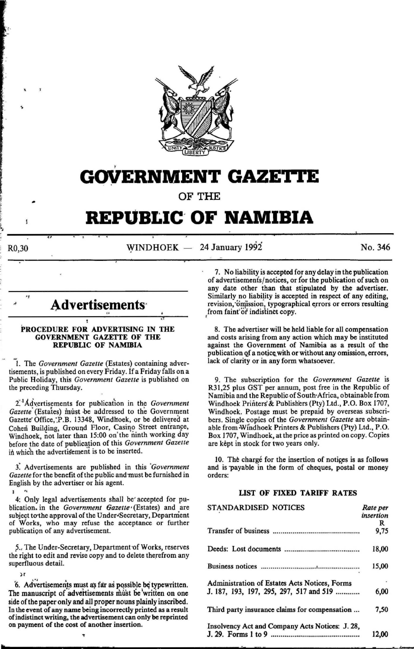

# **GOVERNMENT GAZETTE**

OF THE

## **REPUBLIC' OF NAMIBIA**

--------~.~~----~~--~~--------~------~--------~~--------.-------------------~-------  $R0,30$  WINDHOEK  $-24$  January 1992 No. 346

### Advertisements<sup>®</sup>

f l,

 $\mathbf{1}$ 

#### PROCEDURE FOR ADVERTISING IN THE GOVERNMENT GAZETTE OF THE REPUBLIC OF NAMIBIA

-1. The *Government Gazette* (Estates) containing advertisements, is published on every Friday. If a Friday falls on a Public Holiday, this *Government Gazette* is published on the preceding Thursday.

2<sup>1</sup>Advertisements for publication in the *Government Gazette* (Estates) must be addressed to the Government Gazette Office, P.B. 13348, Windhoek, or be delivered at Cohen Building, Ground Floor, Casino Street entrance, Windhoek, not iater than 15:00 on' the 'ninth working day before the date of publication of this *Government Gazette* in which the advertisement is to be inserted.

f Advertisements are published in this *'Government Gazette* for the benefit of the public and must be furnished in English by the advertiser or his agent.

I 4: Only legal advertisements shall be' accepted for publication. in the *Government 6azette* • (Estates) and are subject to the approval of the Under-Secretary, Department of Works, who may refuse the acceptance or further publication of any advertisement.

5.. The Under-Secretary, Department of Works, reserves the right to edit and revise copy and to delete therefrom any superfluous detail.

 $\mathbf{r}$ 

6. Advertisements must as far as possible be typewritten. The manuscript of advertisements must be written on one side of the paper only and all proper nouns plainly inscribed. In the event of any name being incorrectly printed as a result of indistinct writing, the advertisement can only be reprinted on payment of the cost of another insertion.

.,

f 7. No liability is accepted for any delay in the publication of advertisements/notices, or for the publication of such on any date other than that stipulated by the advertiser. Similarly no liability is accepted in respect of any editing, revision, omission, typographical errors or errors resulting from faint or indistinct copy.

8. The advertiser will be held liable for all compensation and costs arising from any action which may be instituted against the Government of Namibia as a result of the publication of a notice with or without any omission, errors, lack of clarity or in any form whatsoever.

9. The subscription for the *Government Gazette* is R31 ,25 plus GST per annum, post free in the Republic of Namibia and the Republic of South·Africa, obtainable from Windhoek Printers' & Publishers (Pty) Ltd., P.O. Box 1707, Windhoek. Postage must be prepaid by overseas subscribers. Single copies of the *Government Gazette* are obtainable from ·Windhoek Printers & Publishers (Pty) Ltd., P.O. Box 1707, Windhoek, at the price as printed on copy. Copies are kept in stock for two years only.

10. The charge for the insertion of notices is as follows and is payable in the form of cheques, postal or money orders:

#### LIST OF FIXED TARIFF RATES

| STANDARDISED NOTICES                            | Rate per<br>insertion |
|-------------------------------------------------|-----------------------|
|                                                 |                       |
|                                                 | R                     |
|                                                 | 9,75                  |
|                                                 | 18,00                 |
|                                                 |                       |
|                                                 | 15,00                 |
| Administration of Estates Acts Notices, Forms   |                       |
| J. 187, 193, 197, 295, 297, 517 and 519         | 6,00                  |
| Third party insurance claims for compensation   | 7.50                  |
| Insolvency Act and Company Acts Notices: J. 28, | 12.00                 |
|                                                 |                       |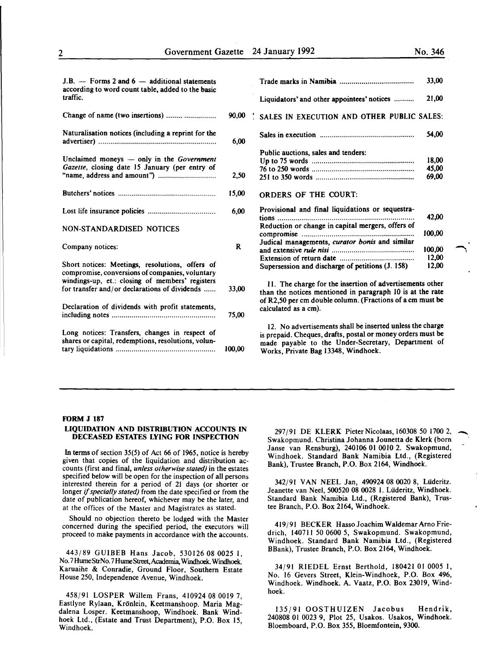| $J.B.$ - Forms 2 and 6 - additional statements<br>according to word count table, added to the basic   |              |                                                                                                                                                                                                                       | 33,00          |
|-------------------------------------------------------------------------------------------------------|--------------|-----------------------------------------------------------------------------------------------------------------------------------------------------------------------------------------------------------------------|----------------|
| traffic.                                                                                              |              | Liquidators' and other appointees' notices                                                                                                                                                                            | 21,00          |
| Change of name (two insertions)                                                                       | 90,00        | SALES IN EXECUTION AND OTHER PUBLIC SALES:                                                                                                                                                                            |                |
| Naturalisation notices (including a reprint for the                                                   | 6,00         |                                                                                                                                                                                                                       | 54,00          |
|                                                                                                       |              | Public auctions, sales and tenders:                                                                                                                                                                                   |                |
| Unclaimed moneys - only in the Government                                                             |              |                                                                                                                                                                                                                       | 18,00          |
| Gazette, closing date 15 January (per entry of                                                        |              |                                                                                                                                                                                                                       | 45,00          |
|                                                                                                       | 2,50         |                                                                                                                                                                                                                       | 69,00          |
|                                                                                                       | 15,00        | <b>ORDERS OF THE COURT:</b>                                                                                                                                                                                           |                |
|                                                                                                       | 6,00         | Provisional and final liquidations or sequestra-                                                                                                                                                                      | 42,00          |
| <b>NON-STANDARDISED NOTICES</b>                                                                       |              | Reduction or change in capital mergers, offers of                                                                                                                                                                     | 100.00         |
| Company notices:                                                                                      | $\mathbf{R}$ | Judical managements, curator bonis and similar                                                                                                                                                                        | 100,00         |
| Short notices: Meetings, resolutions, offers of<br>compromise, conversions of companies, voluntary    |              | Supersession and discharge of petitions (J. 158)                                                                                                                                                                      | 12,00<br>12,00 |
| windings-up, et.: closing of members' registers<br>for transfer and/or declarations of dividends      | 33,00        | 11. The charge for the insertion of advertisements other<br>than the notices mentioned in paragraph 10 is at the rate                                                                                                 |                |
| Declaration of dividends with profit statements,                                                      | 75,00        | of R2,50 per cm double column. (Fractions of a cm must be<br>calculated as a cm).                                                                                                                                     |                |
| Long notices: Transfers, changes in respect of<br>shares or capital, redemptions, resolutions, volun- | 100,00       | 12. No advertisements shall be inserted unless the charge<br>is prepaid. Cheques, drafts, postal or money orders must be<br>made payable to the Under-Secretary, Department of<br>Works, Private Bag 13348, Windhoek. |                |

#### FORM J 187

#### LIQUIDATION AND DISTRIBUTION ACCOUNTS IN DECEASED ESTATES LYING FOR INSPECTION

In terms of section 35(5) of Act 66 of 1965, notice is hereby given that copies of the liquidation and distribution accounts (first and final, *unless otherwise stated)* in the estates specified below will be open for the inspection of all persons interested therein for a period of 21 days (or shorter or longer if *specially stated)* from the date specified or from the date of publication hereof, whichever may be the later, and at the offices of the Master and Magistrates as stated.

Should no objection thereto be lodged with the Master concerned during the specified period, the executors will proceed to make payments in accordance with the accounts.

443/89 GUIBEB Hans Jacob, 530126 08 0025 I, No. 7HumeStrNo. 7HumeStreet,Academia, Windhoek. Windhoek. Karuaihe & Conradie, Ground Floor, Southern Estate House 250, Independence Avenue, Windhoek.

458/91 LOSPER Willem Frans, 410924 08 0019 7, Eastlyne Rylaan, Kronlein, Keetmanshoop. Maria Magdalena Losper. Keetmanshoop, Windhoek. Bank Windhoek Ltd., (Estate and Trust Department), P.O. Box 15, Windhoek.

297/91 DE KLERK PieterNicolaas, 160308 50 1700 2, Swakopmund. Christina Johanna Jounetta de Klerk (born Janse van Rensburg), 240106 01 0010 2. Swakopmund, Windhoek. Standard Bank Namibia Ltd., (Registered Bank), Trustee Branch, P.O. Box 2164, Windhoek.

-

342/91 VAN NEEL Jan, 490924 08 0020 8, Lüderitz. Jeanette van Neel, 500520 08 0028 I. Liideritz, Windhoek. Standard Bank Namibia Ltd., (Registered Bank), Trustee Branch, P.O. Box 2164, Windhoek.

419/91 BECKER HassoJoachim Waldemar Arno Friedrich, 140711 50 0600 *5,* Swakopmund. Swakopmund, Windhoek. Standard Bank Namibia Ltd., (Registered BBank), Trustee Branch, P.O. Box 2164, Windhoek.

34/91 RIEDEL Ernst Berthold, 180421 01 0005 1, No. 16 Gevers Street, Klein-Windhoek, P.O. Box 496, Windhoek. Windhoek. A. Vaatz, P.O. Box 23019, Windhoek.

135/91 OOSTHUIZEN Jacobus Hendrik, 240808 01 0023 9, Plot 25, Usakos. Usakos, Windhoek. Bloemboard, P.O. Box 355, Bloemfontein, 9300.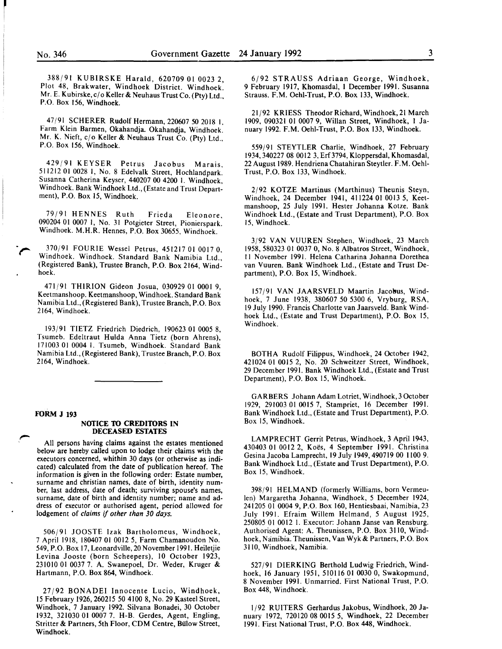388/91 KUBIRSKE Harald, 620709 01 0023 2, Plot 48, Brakwater, Windhoek District. Windhoek. Mr. E. Kubirske, c/o Keller& Neuhaus Trust Co. (Pty) Ltd., P.O. Box 156, Windhoek.

47/91 SCHERER Rudolf Hermann, 220607 50 2018 1. Farm Klein Barmen, Okahandja. Okahandja, Windhoek. Mr. K. Nieft, cjo Keller & Neuhaus Trust Co. (Pty) Ltd., P.O. Box 156, Windhoek.

429/91 KEYSER Petrus Jacobus Marais, 511212 01 0028 I, No. 8 Edelvalk Street, Hochlandpark. Susanna Catherina Keyser, 440207 00 4200 I. Windhoek, Windhoek. Bank Windhoek Ltd., (Estate and Trust Department), P.O. Box 15, Windhoek.

79/91 HENNES Ruth Frieda Eleonore, 090204 01 0007 1, No. 31 Potgieter Street, Pionierspark. Windhoek. M.H.R. Hennes, P.O. Box 30655, Windhoek.

370/91 FOURIE Wessel Petrus, 451217 01 0017 0, Windhoek. Windhoek. Standard Bank Namibia Ltd (Registered Bank), Trustee Branch, P.O. Box 2164, Wind~ hoek.

471/91 THIRION Gideon Josua, 030929 01 0001 9, Keetmanshoop. Keetmanshoop, Windhoek. Standard Bank Namibia Ltd., (Registered Bank), Trustee Branch, P.O. Box 2164, Windhoek.

193/91 TIETZ Friedrich Diedrich, 190623 01 0005 8, Tsumeb. Edeltraut Hulda Anna Tietz (born Ahrens), 171003 01 0004 1. Tsumeb, Windhoek. Standard Bank Namibia Ltd., (Registered Bank), Trustee Branch, P.O. Box 2164, Windhoek.

#### **FORM J 193**

#### **NOTICE TO CREDITORS IN DECEASED ESTATES**

All persons having claims against the estates mentioned below are hereby called upon to lodge their claims with the executors concerned, whithin 30 days (or otherwise as indicated) calculated from the date of publication hereof. The information is given in the following order: Estate number, surname and christian names, date of birth, identity number, last address, date of death; surviving spouse's names, surname, date of birth and identity number; name and address of executor or authorised agent, period allowed for lodgement of *claims* if *other than 30 days.* 

506/91 JOOSTE Izak Bartholomeus, Windhoek, 7 April 1918, 180407 01 0012 *5,* Farm Chamanoudon No. 549, P.O. Box 17, Leonardville, 20 November 1991. Heiletjie Levina Jooste (born Scheepers), 10 October 1923, 231010 01 0037 7. A. Swanepoel, Dr. Weder, Kruger & Hartmann, P.O. Box 864, Windhoek.

27/92 BONADEI Innocente Lucio, Windhoek, 15 February 1926,260215 50 4100 8, No. 29 Kasteel Street, Windhoek, 7 January 1992. Silvana Bonadei, 30 October 1932, 321030 01 0007 7. H-B. Gerdes, Agent, Engling, Stritter & Partners, 5th Floor, COM Centre, Bulow Street, Windhoek.

6/92 STRAUSS Adriaan George, Windhoek, 9 February 1917, Khomasdal, 1 December 1991. Susanna Strauss. F.M. Oeh1-Trust, P.O. Box 133, Windhoek.

21/92 KRIESS Theodor Richard, Windhoek, 21 March 1909, 090321 01 0007 9, Willan Street, Windhoek, I January 1992. F.M. Oehl-Trust, P.O. Box 133, Windhoek.

559/91 STEYTLER Charlie, Windhoek, 27 February 1934,340227 08 0012 3, Erf3794, Kloppersdal, Khomasdal, 22 August 1989. Hendriena Chatahiran Steytler. F. M. Oehi-Trust, P.O. Box 133, Windhoek.

2/92 KOTZE Martinus (Marthinus) Theunis Steyn, Windhoek, 24 December 1941, 411224 01 0013 *5,* Keetmanshoop, 25 July 1991. Hester Johanna Kotze. Bank Windhoek Ltd., (Estate and Trust Department), P.O. Box 15, Windhoek.

3/92 VAN VUUREN Stephen, Windhoek, 23 March 1958, 580323 01 0037 0, No.8 Albatros Street, Windhoek, II November 1991. Helena Catharina Johanna Dorethea van Vuuren. Bank Windhoek Ltd., (Estate and Trust Department), P.O. Box 15, Windhoek.

157/91 VAN JAARSVELD Maartin Jacobus, Windhoek, 7 June 1938, 380607 50 5300 6, Vryburg, RSA, 19 July 1990. Francis Charlotte van Jaarsveld. Bank Windhoek Ltd., (Estate and Trust Department), P.O. Box 15, Windhoek.

BOTHA Rudolf Filippus, Windhoek, 24 October 1942, 421024 01 0015 2, No. 20 Schweitzer Street, Windhoek, 29 December 1991. Bank Windhoek Ltd., (Estate and Trust Department), P.O. Box 15, Windhoek.

GARBERS Johann Adam Lotriet, Windhoek, 3 October 1929, 291003 01 0015 7, Stampriet, 16 December 1991. Bank Windhoek Ltd., (Estate and Trust Department), P.O. Box 15, Windhoek.

LAMPRECHT Gerrit Petrus, Windhoek, 3 April 1943, 430403 01 0012 2, Koës, 4 September 1991. Christina Gesina Jacoba Lamprecht, 19 July 1949,490719 00 1100 9. Bank Windhoek Ltd., (Estate and Trust Department), P.O. Box 15, Windhoek.

398/91 HELMAND (formerly Williams, born Vermeulen) Margaretha Johanna, Windhoek, *5* December 1924, 241205 01 0004 9, P.O. Box 160, Hentiesbaai, Namibia, 23 July 1991. Efraim Willem Helmand, *5* August 1925, 250805 01 0012 1. Executor: Johann Janse van Rensburg. Authorised Agent: A. Theunissen, P.O. Box 3110, Windhoek, Namibia. Theunissen, VanWyk & Partners, P.O. Box 3110, Windhoek, Namibia.

527/91 DIERKING Berthold Ludwig Friedrich, Windhoek, 16 January 1951, 510116 01 0030 0, Swakopmund, 8 November 1991. Unmarried. First National Trust, P.O. Box 448, Windhoek.

1/92 RUITERS Gerhardus Jakobus, Windhoek, 20 January 1972, 720120 08 0015 *5,* Windhoek, 22 December 1991. First National Trust, P.O. Box 448, Windhoek.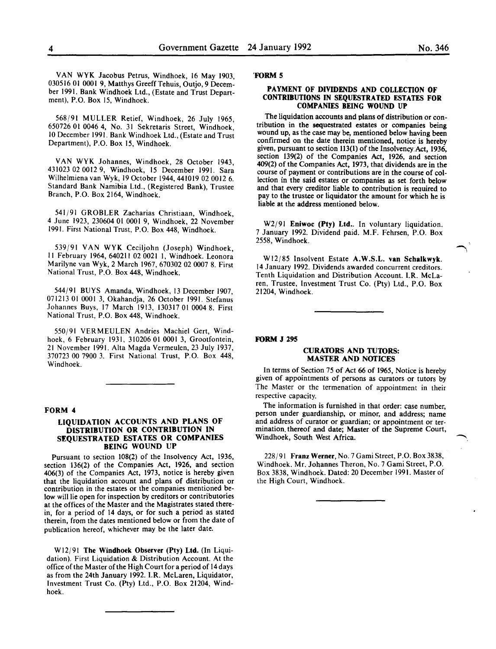VAN WYK Jacobus Petrus, Windhoek, 16 May 1903, 030516 01 0001 9, Matthys Greeff Tehuis, Outjo, 9 December 1991. Bank Windhoek Ltd., (Estate and Trust Department), P.O. Box 15, Windhoek.

568/91 MULLER Retief, Windhoek, 26 July 1965, 650726 01 0046 4, No. 31 Sekretaris Street, Windhoek, 10 December 1991. Bank Windhoek Ltd., (Estate and Trust Department), P.O. Box 15, Windhoek.

VAN WYK Johannes, Windhoek, 28 October 1943, 431023 02 0012 9, Windhoek, 15 December 1991. Sara Wilhelmiena van Wyk, 19 October 1944,441019 02 0012 6. Standard Bank Namibia Ltd., (Registered Bank), Trustee Branch, P.O. Box 2164, Windhoek.

541/91 GROBLER Zacharias Christiaan, Windhoek, 4 June 1923, 230604 01 0001 9, Windhoek, 22 November 1991. First National Trust, P.O. Box 448, Windhoek.

539/91 VAN WYK Ceciljohn (Joseph) Windhoek, II February 1964, 640211 02 0021 I, Windhoek. Leonora Marilyne van Wyk, 2 March 1967,670302 02 0007 8. First National Trust, P.O. Box 448, Windhoek.

544/91 BUYS Amanda, Windhoek, 13 December 1907, 071213 01 0001 3, Okahandja, 26 October 1991. Stefanus Johannes Buys, 17 March 1913, 130317 01 0004 8. First National Trust, P.O. Box 448, Windhoek.

550/91 VERMEULEN Andries Machiel Gert, Windhoek, 6 February 1931, 310206 01 0001 3, Grootfontein, 21 November 1991. Alta Magda Vermeulen, 23 July 1937, 370723 00 7900 3. First National Trust, P.O. Box 448, Windhoek.

#### FORM 4

#### LIQUIDATION ACCOUNTS AND PLANS OF DISTRIBUTION OR CONTRIBUTION IN SEQUESTRATED ESTATES OR COMPANIES BEING WOUND UP

Pursuant to section 108(2) of the Insolvency Act, 1936, section 136(2) of the Companies Act, 1926, and section 406(3) of the Companies Act, 1973, notice is hereby given that the liquidation account and plans of distribution or contribution in the estates or the companies mentioned below will lie open for inspection by creditors or contributories at the offices of the Master and the Magistrates stated therein, for a period of 14 days, or for such a period as stated therein, from the dates mentioned below or from the date of publication hereof, whichever may be the later date.

Wl2/91 The Windhoek Observer (Pty) Ltd. (In Liquidation). First Liquidation & Distribution Account. At the office of the Master of the High Court for a period of 14 days as from the 24th January 1992. I.R. McLaren, Liquidator, Investment Trust Co. (Pty) Ltd., P.O. Box 21204, Windhoek.

#### 'FORM 5

#### PAYMENT OF DIVIDENDS AND COLLECTION OF CONTRIBUTIONS IN SEQUESTRATED ESTATES FOR COMPANIES BEING WOUND UP

The liquidation accounts and plans of distribution or contribution in the sequestrated estates or companies being wound up, as the case may be, mentioned below having been confirmed on the date therein mentioned, notice is hereby given, pursuant to section 113(1) of the Insolvency Act, 1936, section 139(2) of the Companies Act, 1926, and section 409(2) of the Companies Act, 1973, that dividends are in the course of payment or contributions are in the course of collection in the said estates or companies as set forth below and that every creditor liable to contribution is required to pay to the trustee or liquidator the amount for which he is liable at the address mentioned below.

W2/91 Eniwoc (Pty) Ltd.. In voluntary liquidation. 7 January 1992. Dividend paid. M.F. Fehrsen, P.O. Box 2558, Windhoek.

Wl2/85 Insolvent Estate A.W.S.L. van Schalkwyk. 14 January 1992. Dividends awarded concurrent creditors. Tenth Liquidation and Distribution Account. l.R. McLaren, Trustee, Investment Trust Co. (Pty) Ltd., P.O. Box 21204, Windhoek.

FORM J 295

#### CURATORS AND TUTORS: MASTER AND NOTICES

In terms of Section 75 of Act 66 of 1965, Notice is hereby given of appointments of persons as curators or tutors by The Master or the termenation of appointment in their respective capacity.

The information is furnished in that order: case number, person under guardianship, or minor, and address; name and address of curator or guardian; or appointment or termination. thereof and date; Master of the Supreme Court, Windhoek, South West Africa.

228/91 Franz Werner, No.7 Gami Street, P.O. Box 3838, Windhoek. Mr. Johannes Theron, No.7 Gami Street, P.O. Box 3838, Windhoek. Dated: 20 December 1991. Master of the High Court, Windhoek.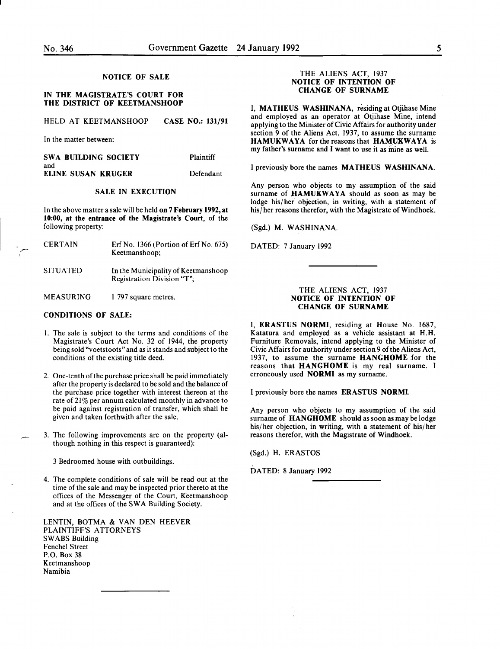### NOTICE OF SALE

#### IN THE MAGISTRATE'S COURT FOR THE DISTRICT OF KEETMANSHOOP

|  | HELD AT KEETMANSHOOP | <b>CASE NO.: 131/91</b> |  |
|--|----------------------|-------------------------|--|
|  |                      |                         |  |

In the matter between:

| SWA BUILDING SOCIETY | Plaintiff |
|----------------------|-----------|
| and                  |           |
| ELINE SUSAN KRUGER   | Defendant |

#### SALE IN EXECUTION

In the above matter a sale will be held on 7 February 1992, at 10:00, at the entrance of the Magistrate's Court, of the following property:

| <b>CERTAIN</b>   | Erf No. $1366$ (Portion of Erf No. 675)<br>Keetmanshoop;          |
|------------------|-------------------------------------------------------------------|
| <b>SITUATED</b>  | In the Municipality of Keetmanshoop<br>Registration Division "T"; |
| <b>MEASURING</b> | 1 797 square metres.                                              |

#### CONDITIONS OF SALE:

- I. The sale is subject to the terms and conditions of the Magistrate's Court Act No. 32 of 1944, the property being sold "voetstoots" and as it stands and subject to the conditions of the existing title deed.
- 2. One-tenth of the purchase price shall be paid immediately after the property is declared to be sold and the balance of the purchase price together with interest thereon at the rate of 21% per annum calculated monthly in advance to be paid against registration of transfer, which shall be given and taken forthwith after the sale.
- 3. The following improvements are on the property (although nothing in this respect is guaranteed):

3 Bedroomed house with outbuildings.

4. The complete conditions of sale will be read out at the time of the sale and may be inspected prior thereto at the offices of the Messenger of the Court, Keetmanshoop and at the offices of the SWA Building Society.

LENTIN, BOTMA & VAN DEN HEEVER PLAINTIFF'S ATTORNEYS SWABS Building Fenchel Street P.O. Box 38 Keetmanshoop Namibia

#### THE ALIENS ACT, 1937 NOTICE OF INTENTION OF CHANGE OF SURNAME

I, MATHEUS WASHINANA, residing at Otjihase Mine and employed as an operator at Otjihase Mine, intend applying to the Minister of Civic Affairs for authority under section 9 of the Aliens Act, 1937, to assume the surname HAMUKWAYA for the reasons that HAMUKWAYA is my father's surname and I want to use it as mine as well.

I previously bore the names MATHEUS WASHINANA.

Any person who objects to my assumption of the said surname of HAMUKWAYA should as soon as may be lodge his/her objection, in writing, with a statement of his/her reasons therefor, with the Magistrate of Windhoek.

(Sgd.) M. WASHINANA.

DATED: 7 January 1992

#### THE ALIENS ACT, 1937 NOTICE OF INTENTION OF CHANGE OF SURNAME

I, ERASTUS NORMI, residing at House No. 1687, Katatura and employed as a vehicle assistant at H.H. Furniture Removals, intend applying to the Minister of Civic Affairs for authority under section 9 of the Aliens Act, 1937, to assume the surname HANGHOME for the reasons that HANGHOME is my real surname. I erroneously used NORMI as my surname.

I previously bore the names ERASTUS NORMI.

Any person who objects to my assumption of the said surname of HANGHOME should as soon as may be lodge his/her objection, in writing, with a statement of his/her reasons therefor, with the Magistrate of Windhoek.

(Sgd.) H. ERASTOS

DATED: 8 January 1992